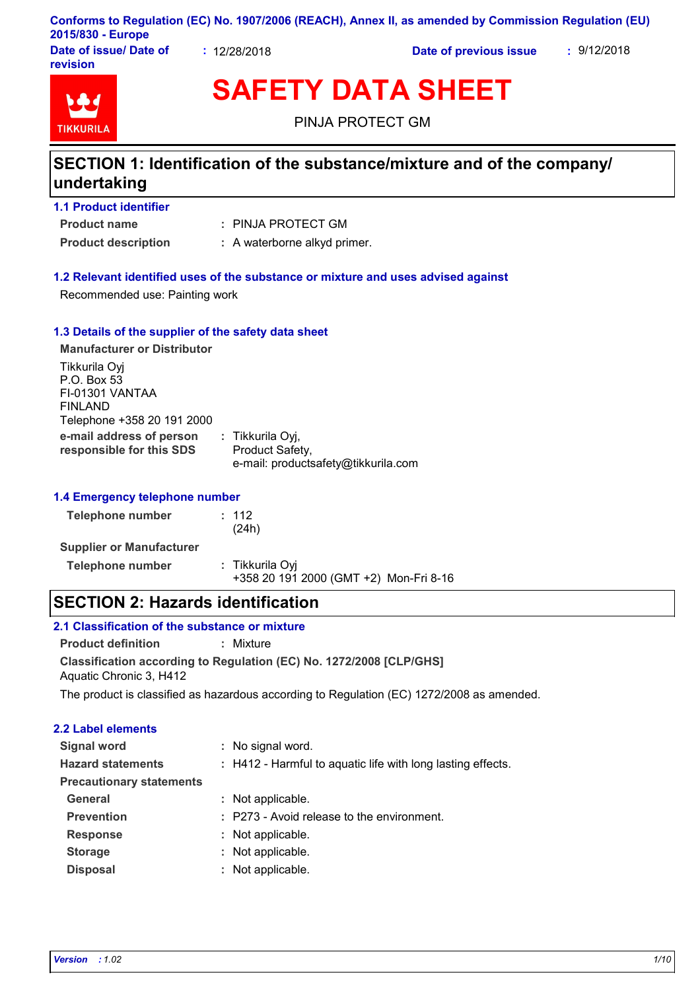#### **Conforms to Regulation (EC) No. 1907/2006 (REACH), Annex II, as amended by Commission Regulation (EU) 2015/830 - Europe**

**Date of issue/ Date of revision**

**:** 12/28/2018 **Date of previous issue :** 9/12/2018



**SAFETY DATA SHEET**

PINJA PROTECT GM

## **SECTION 1: Identification of the substance/mixture and of the company/ undertaking**

|  |  |  |  | <b>1.1 Product identifier</b> |  |
|--|--|--|--|-------------------------------|--|
|--|--|--|--|-------------------------------|--|

**Product name**

PINJA PROTECT GM **:**

**Product description :** A waterborne alkyd primer.

#### **1.2 Relevant identified uses of the substance or mixture and uses advised against**

Recommended use: Painting work

#### **1.3 Details of the supplier of the safety data sheet**

| <b>Manufacturer or Distributor</b>                                                       |                                                                            |
|------------------------------------------------------------------------------------------|----------------------------------------------------------------------------|
| Tikkurila Oyj<br>P.O. Box 53<br>FI-01301 VANTAA<br>FINLAND<br>Telephone +358 20 191 2000 |                                                                            |
| e-mail address of person<br>responsible for this SDS                                     | : Tikkurila Oyj,<br>Product Safety,<br>e-mail: productsafety@tikkurila.com |

#### **1.4 Emergency telephone number**

| <b>Telephone number</b>         | $\pm$ 112<br>(24h)                                        |
|---------------------------------|-----------------------------------------------------------|
| <b>Supplier or Manufacturer</b> |                                                           |
| <b>Telephone number</b>         | : Tikkurila Oyi<br>+358 20 191 2000 (GMT +2) Mon-Fri 8-16 |

## **SECTION 2: Hazards identification**

## **2.1 Classification of the substance or mixture**

**Product definition :** Mixture

**Classification according to Regulation (EC) No. 1272/2008 [CLP/GHS]** Aquatic Chronic 3, H412

The product is classified as hazardous according to Regulation (EC) 1272/2008 as amended.

#### **2.2 Label elements**

| <b>Signal word</b>              | : No signal word.                                           |  |
|---------------------------------|-------------------------------------------------------------|--|
| <b>Hazard statements</b>        | : H412 - Harmful to aquatic life with long lasting effects. |  |
| <b>Precautionary statements</b> |                                                             |  |
| <b>General</b>                  | : Not applicable.                                           |  |
| <b>Prevention</b>               | : P273 - Avoid release to the environment.                  |  |
| <b>Response</b>                 | : Not applicable.                                           |  |
| <b>Storage</b>                  | : Not applicable.                                           |  |
| <b>Disposal</b>                 | : Not applicable.                                           |  |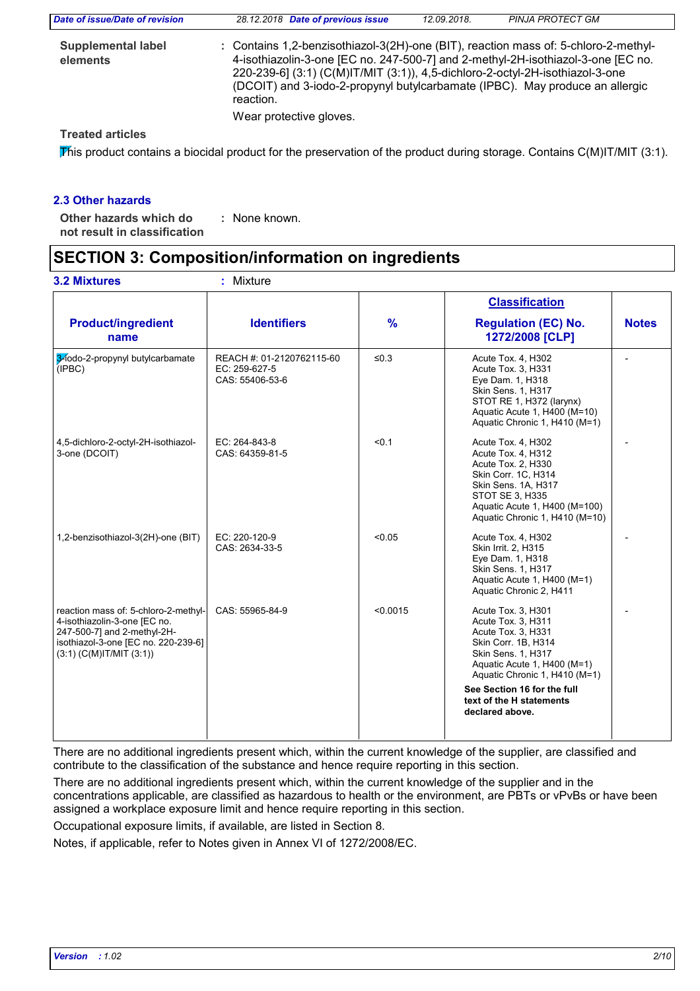| Date of issue/Date of revision        | 28.12.2018 Date of previous issue                                                                                                                                                                                                                                                                                                                     | 12.09.2018. | <b>PINJA PROTECT GM</b> |  |
|---------------------------------------|-------------------------------------------------------------------------------------------------------------------------------------------------------------------------------------------------------------------------------------------------------------------------------------------------------------------------------------------------------|-------------|-------------------------|--|
| <b>Supplemental label</b><br>elements | : Contains 1,2-benzisothiazol-3(2H)-one (BIT), reaction mass of: 5-chloro-2-methyl-<br>4-isothiazolin-3-one [EC no. 247-500-7] and 2-methyl-2H-isothiazol-3-one [EC no.<br>220-239-6] (3:1) (C(M)IT/MIT (3:1)), 4,5-dichloro-2-octyl-2H-isothiazol-3-one<br>(DCOIT) and 3-iodo-2-propynyl butylcarbamate (IPBC). May produce an allergic<br>reaction. |             |                         |  |
|                                       | Wear protective gloves.                                                                                                                                                                                                                                                                                                                               |             |                         |  |
| Troatod articlos                      |                                                                                                                                                                                                                                                                                                                                                       |             |                         |  |

#### **Treated articles**

This product contains a biocidal product for the preservation of the product during storage. Contains  $C(M)IT/MIT$  (3:1).

#### **2.3 Other hazards**

**Other hazards which do : not result in classification** : None known.

## **SECTION 3: Composition/information on ingredients**

|                                                                                                                                                                             |                                                               |               | <b>Classification</b>                                                                                                                                                                                                                                     |              |
|-----------------------------------------------------------------------------------------------------------------------------------------------------------------------------|---------------------------------------------------------------|---------------|-----------------------------------------------------------------------------------------------------------------------------------------------------------------------------------------------------------------------------------------------------------|--------------|
| <b>Product/ingredient</b><br>name                                                                                                                                           | <b>Identifiers</b>                                            | $\frac{9}{6}$ | <b>Regulation (EC) No.</b><br>1272/2008 [CLP]                                                                                                                                                                                                             | <b>Notes</b> |
| 3-lodo-2-propynyl butylcarbamate<br>(IPBC)                                                                                                                                  | REACH #: 01-2120762115-60<br>EC: 259-627-5<br>CAS: 55406-53-6 | $\leq 0.3$    | Acute Tox. 4, H302<br>Acute Tox. 3, H331<br>Eye Dam. 1, H318<br>Skin Sens. 1, H317<br>STOT RE 1, H372 (larynx)<br>Aquatic Acute 1, H400 (M=10)<br>Aquatic Chronic 1, H410 (M=1)                                                                           |              |
| 4,5-dichloro-2-octyl-2H-isothiazol-<br>3-one (DCOIT)                                                                                                                        | EC: 264-843-8<br>CAS: 64359-81-5                              | < 0.1         | Acute Tox. 4, H302<br>Acute Tox. 4, H312<br>Acute Tox. 2, H330<br>Skin Corr. 1C, H314<br>Skin Sens. 1A, H317<br>STOT SE 3, H335<br>Aquatic Acute 1, H400 (M=100)<br>Aquatic Chronic 1, H410 (M=10)                                                        |              |
| 1,2-benzisothiazol-3(2H)-one (BIT)                                                                                                                                          | EC: 220-120-9<br>CAS: 2634-33-5                               | < 0.05        | Acute Tox. 4, H302<br>Skin Irrit. 2, H315<br>Eye Dam. 1, H318<br>Skin Sens. 1, H317<br>Aquatic Acute 1, H400 (M=1)<br>Aquatic Chronic 2, H411                                                                                                             |              |
| reaction mass of: 5-chloro-2-methyl-<br>4-isothiazolin-3-one [EC no.<br>247-500-7] and 2-methyl-2H-<br>isothiazol-3-one [EC no. 220-239-6]<br>$(3:1)$ (C(M)IT/MIT $(3:1)$ ) | CAS: 55965-84-9                                               | < 0.0015      | Acute Tox. 3, H301<br>Acute Tox. 3, H311<br>Acute Tox. 3, H331<br>Skin Corr. 1B, H314<br>Skin Sens. 1, H317<br>Aquatic Acute 1, H400 (M=1)<br>Aquatic Chronic 1, H410 (M=1)<br>See Section 16 for the full<br>text of the H statements<br>declared above. |              |

There are no additional ingredients present which, within the current knowledge of the supplier, are classified and contribute to the classification of the substance and hence require reporting in this section.

There are no additional ingredients present which, within the current knowledge of the supplier and in the concentrations applicable, are classified as hazardous to health or the environment, are PBTs or vPvBs or have been assigned a workplace exposure limit and hence require reporting in this section.

Occupational exposure limits, if available, are listed in Section 8.

Notes, if applicable, refer to Notes given in Annex VI of 1272/2008/EC.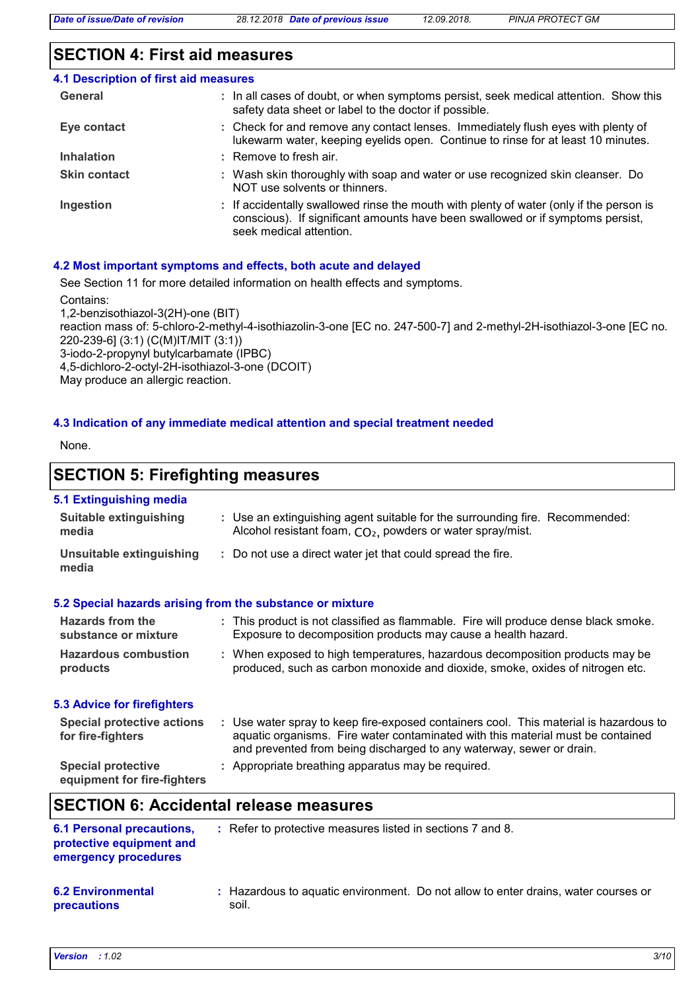## **SECTION 4: First aid measures**

| 4.1 Description of first aid measures |                                                                                                                                                                                                      |
|---------------------------------------|------------------------------------------------------------------------------------------------------------------------------------------------------------------------------------------------------|
| General                               | : In all cases of doubt, or when symptoms persist, seek medical attention. Show this<br>safety data sheet or label to the doctor if possible.                                                        |
| Eye contact                           | : Check for and remove any contact lenses. Immediately flush eyes with plenty of<br>lukewarm water, keeping eyelids open. Continue to rinse for at least 10 minutes.                                 |
| <b>Inhalation</b>                     | : Remove to fresh air.                                                                                                                                                                               |
| <b>Skin contact</b>                   | : Wash skin thoroughly with soap and water or use recognized skin cleanser. Do<br>NOT use solvents or thinners.                                                                                      |
| Ingestion                             | : If accidentally swallowed rinse the mouth with plenty of water (only if the person is<br>conscious). If significant amounts have been swallowed or if symptoms persist,<br>seek medical attention. |

## **4.2 Most important symptoms and effects, both acute and delayed**

See Section 11 for more detailed information on health effects and symptoms.

Contains:

1,2-benzisothiazol-3(2H)-one (BIT) reaction mass of: 5-chloro-2-methyl-4-isothiazolin-3-one [EC no. 247-500-7] and 2-methyl-2H-isothiazol-3-one [EC no. 220-239-6] (3:1) (C(M)IT/MIT (3:1)) 3-iodo-2-propynyl butylcarbamate (IPBC) 4,5-dichloro-2-octyl-2H-isothiazol-3-one (DCOIT) May produce an allergic reaction.

#### **4.3 Indication of any immediate medical attention and special treatment needed**

None.

## **SECTION 5: Firefighting measures**

#### **5.1 Extinguishing media**

| <b>Suitable extinguishing</b><br>media                                               | : Use an extinguishing agent suitable for the surrounding fire. Recommended:<br>Alcohol resistant foam, $CO2$ , powders or water spray/mist.                                                                                                     |
|--------------------------------------------------------------------------------------|--------------------------------------------------------------------------------------------------------------------------------------------------------------------------------------------------------------------------------------------------|
| Unsuitable extinguishing<br>media                                                    | : Do not use a direct water jet that could spread the fire.                                                                                                                                                                                      |
| 5.2 Special hazards arising from the substance or mixture                            |                                                                                                                                                                                                                                                  |
| Hazards from the<br>substance or mixture                                             | : This product is not classified as flammable. Fire will produce dense black smoke.<br>Exposure to decomposition products may cause a health hazard.                                                                                             |
| <b>Hazardous combustion</b><br>products                                              | : When exposed to high temperatures, hazardous decomposition products may be<br>produced, such as carbon monoxide and dioxide, smoke, oxides of nitrogen etc.                                                                                    |
| 5.3 Advice for firefighters                                                          |                                                                                                                                                                                                                                                  |
| <b>Special protective actions</b><br>for fire-fighters                               | : Use water spray to keep fire-exposed containers cool. This material is hazardous to<br>aquatic organisms. Fire water contaminated with this material must be contained<br>and prevented from being discharged to any waterway, sewer or drain. |
| <b>Special protective</b><br>equipment for fire-fighters                             | : Appropriate breathing apparatus may be required.                                                                                                                                                                                               |
| <b>SECTION 6: Accidental release measures</b>                                        |                                                                                                                                                                                                                                                  |
| <b>6.1 Personal precautions,</b><br>protective equipment and<br>emergency procedures | : Refer to protective measures listed in sections 7 and 8.                                                                                                                                                                                       |

#### **6.2 Environmental precautions** Hazardous to aquatic environment. Do not allow to enter drains, water courses or **:** soil.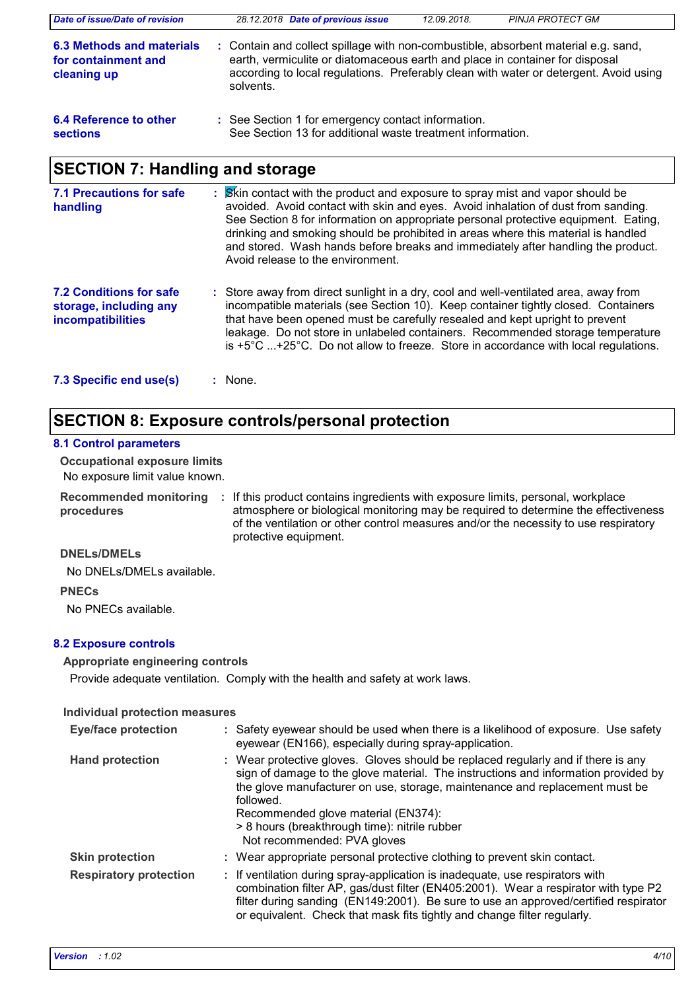| Date of issue/Date of revision                                         | 28.12.2018 Date of previous issue                                                                                                                                                                                                                                        | 12.09.2018. | <b>PINJA PROTECT GM</b> |  |  |
|------------------------------------------------------------------------|--------------------------------------------------------------------------------------------------------------------------------------------------------------------------------------------------------------------------------------------------------------------------|-------------|-------------------------|--|--|
| <b>6.3 Methods and materials</b><br>for containment and<br>cleaning up | : Contain and collect spillage with non-combustible, absorbent material e.g. sand,<br>earth, vermiculite or diatomaceous earth and place in container for disposal<br>according to local regulations. Preferably clean with water or detergent. Avoid using<br>solvents. |             |                         |  |  |
| 6.4 Reference to other<br><b>sections</b>                              | : See Section 1 for emergency contact information.<br>See Section 13 for additional waste treatment information.                                                                                                                                                         |             |                         |  |  |
| <b>SECTION 7: Handling and storage</b>                                 |                                                                                                                                                                                                                                                                          |             |                         |  |  |

| 7.1 Precautions for safe<br>handling                                                 | : Skin contact with the product and exposure to spray mist and vapor should be<br>avoided. Avoid contact with skin and eyes. Avoid inhalation of dust from sanding.<br>See Section 8 for information on appropriate personal protective equipment. Eating,<br>drinking and smoking should be prohibited in areas where this material is handled<br>and stored. Wash hands before breaks and immediately after handling the product.<br>Avoid release to the environment. |
|--------------------------------------------------------------------------------------|--------------------------------------------------------------------------------------------------------------------------------------------------------------------------------------------------------------------------------------------------------------------------------------------------------------------------------------------------------------------------------------------------------------------------------------------------------------------------|
| <b>7.2 Conditions for safe</b><br>storage, including any<br><b>incompatibilities</b> | : Store away from direct sunlight in a dry, cool and well-ventilated area, away from<br>incompatible materials (see Section 10). Keep container tightly closed. Containers<br>that have been opened must be carefully resealed and kept upright to prevent<br>leakage. Do not store in unlabeled containers. Recommended storage temperature<br>is $+5^{\circ}$ C +25 $^{\circ}$ C. Do not allow to freeze. Store in accordance with local regulations.                  |
| 7.3 Specific end use(s)                                                              | : None.                                                                                                                                                                                                                                                                                                                                                                                                                                                                  |

## **SECTION 8: Exposure controls/personal protection**

#### **8.1 Control parameters**

**Occupational exposure limits**

No exposure limit value known.

**procedures**

Recommended monitoring : If this product contains ingredients with exposure limits, personal, workplace atmosphere or biological monitoring may be required to determine the effectiveness of the ventilation or other control measures and/or the necessity to use respiratory protective equipment.

#### **DNELs/DMELs**

No DNELs/DMELs available.

#### **PNECs**

No PNECs available.

#### **8.2 Exposure controls**

#### **Appropriate engineering controls**

Provide adequate ventilation. Comply with the health and safety at work laws.

#### **Individual protection measures**

| <b>Eye/face protection</b>    | : Safety eyewear should be used when there is a likelihood of exposure. Use safety<br>eyewear (EN166), especially during spray-application.                                                                                                                                                                                                                                                |
|-------------------------------|--------------------------------------------------------------------------------------------------------------------------------------------------------------------------------------------------------------------------------------------------------------------------------------------------------------------------------------------------------------------------------------------|
| <b>Hand protection</b>        | : Wear protective gloves. Gloves should be replaced regularly and if there is any<br>sign of damage to the glove material. The instructions and information provided by<br>the glove manufacturer on use, storage, maintenance and replacement must be<br>followed.<br>Recommended glove material (EN374):<br>> 8 hours (breakthrough time): nitrile rubber<br>Not recommended: PVA gloves |
| <b>Skin protection</b>        | : Wear appropriate personal protective clothing to prevent skin contact.                                                                                                                                                                                                                                                                                                                   |
| <b>Respiratory protection</b> | : If ventilation during spray-application is inadequate, use respirators with<br>combination filter AP, gas/dust filter (EN405:2001). Wear a respirator with type P2<br>filter during sanding (EN149:2001). Be sure to use an approved/certified respirator<br>or equivalent. Check that mask fits tightly and change filter regularly.                                                    |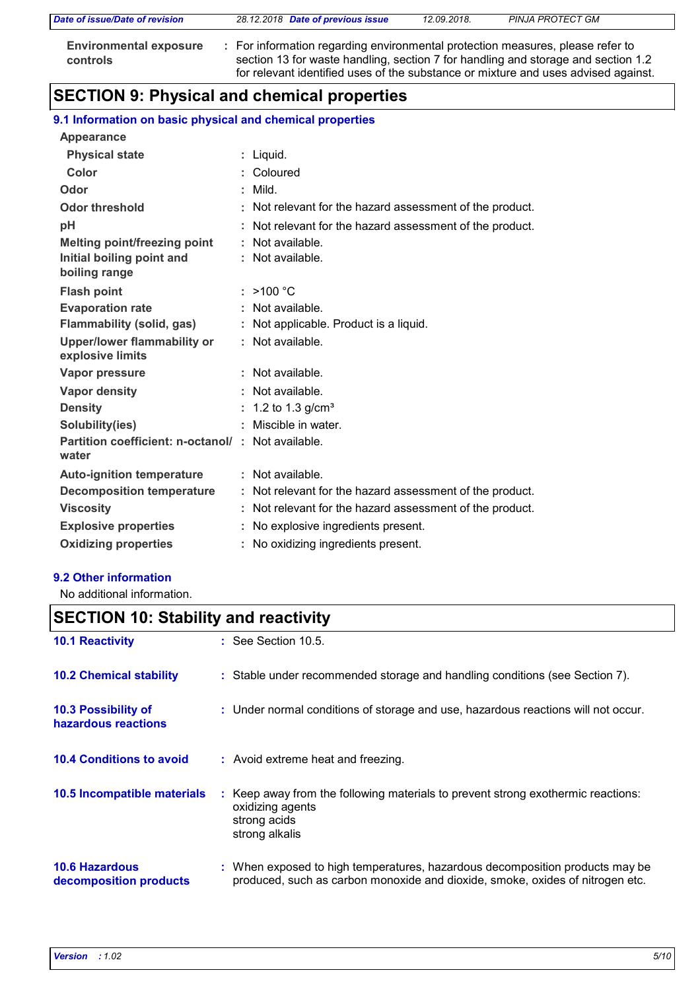| Date of issue/Date of revision                   | 28.12.2018 Date of previous issue                                                                                                                                                                                                                         | 12.09.2018. | PINJA PROTECT GM |  |
|--------------------------------------------------|-----------------------------------------------------------------------------------------------------------------------------------------------------------------------------------------------------------------------------------------------------------|-------------|------------------|--|
| <b>Environmental exposure</b><br><b>controls</b> | : For information regarding environmental protection measures, please refer to<br>section 13 for waste handling, section 7 for handling and storage and section 1.2<br>for relevant identified uses of the substance or mixture and uses advised against. |             |                  |  |

# **SECTION 9: Physical and chemical properties**

## **9.1 Information on basic physical and chemical properties**

| Appearance                                                 |                                                          |
|------------------------------------------------------------|----------------------------------------------------------|
| <b>Physical state</b>                                      | : Liquid.                                                |
| Color                                                      | : Coloured                                               |
| Odor                                                       | $:$ Mild.                                                |
| <b>Odor threshold</b>                                      | : Not relevant for the hazard assessment of the product. |
| рH                                                         | : Not relevant for the hazard assessment of the product. |
| <b>Melting point/freezing point</b>                        | : Not available.                                         |
| Initial boiling point and                                  | : Not available.                                         |
| boiling range                                              |                                                          |
| <b>Flash point</b>                                         | : >100 °C                                                |
| <b>Evaporation rate</b>                                    | : Not available.                                         |
| <b>Flammability (solid, gas)</b>                           | Not applicable. Product is a liquid.                     |
| <b>Upper/lower flammability or</b><br>explosive limits     | : Not available.                                         |
| Vapor pressure                                             | : Not available.                                         |
| Vapor density                                              | : Not available.                                         |
| <b>Density</b>                                             | : 1.2 to 1.3 g/cm <sup>3</sup>                           |
| Solubility(ies)                                            | Miscible in water.                                       |
| Partition coefficient: n-octanol/: Not available.<br>water |                                                          |
| <b>Auto-ignition temperature</b>                           | : Not available.                                         |
| <b>Decomposition temperature</b>                           | : Not relevant for the hazard assessment of the product. |
| <b>Viscosity</b>                                           | : Not relevant for the hazard assessment of the product. |
| <b>Explosive properties</b>                                | No explosive ingredients present.                        |
| <b>Oxidizing properties</b>                                | No oxidizing ingredients present.                        |

#### **9.2 Other information**

No additional information.

| <b>SECTION 10: Stability and reactivity</b>       |                                                                                                                                                               |  |  |
|---------------------------------------------------|---------------------------------------------------------------------------------------------------------------------------------------------------------------|--|--|
| <b>10.1 Reactivity</b>                            | $\therefore$ See Section 10.5.                                                                                                                                |  |  |
| <b>10.2 Chemical stability</b>                    | : Stable under recommended storage and handling conditions (see Section 7).                                                                                   |  |  |
| <b>10.3 Possibility of</b><br>hazardous reactions | : Under normal conditions of storage and use, hazardous reactions will not occur.                                                                             |  |  |
| <b>10.4 Conditions to avoid</b>                   | : Avoid extreme heat and freezing.                                                                                                                            |  |  |
| 10.5 Incompatible materials                       | : Keep away from the following materials to prevent strong exothermic reactions:<br>oxidizing agents<br>strong acids<br>strong alkalis                        |  |  |
| <b>10.6 Hazardous</b><br>decomposition products   | : When exposed to high temperatures, hazardous decomposition products may be<br>produced, such as carbon monoxide and dioxide, smoke, oxides of nitrogen etc. |  |  |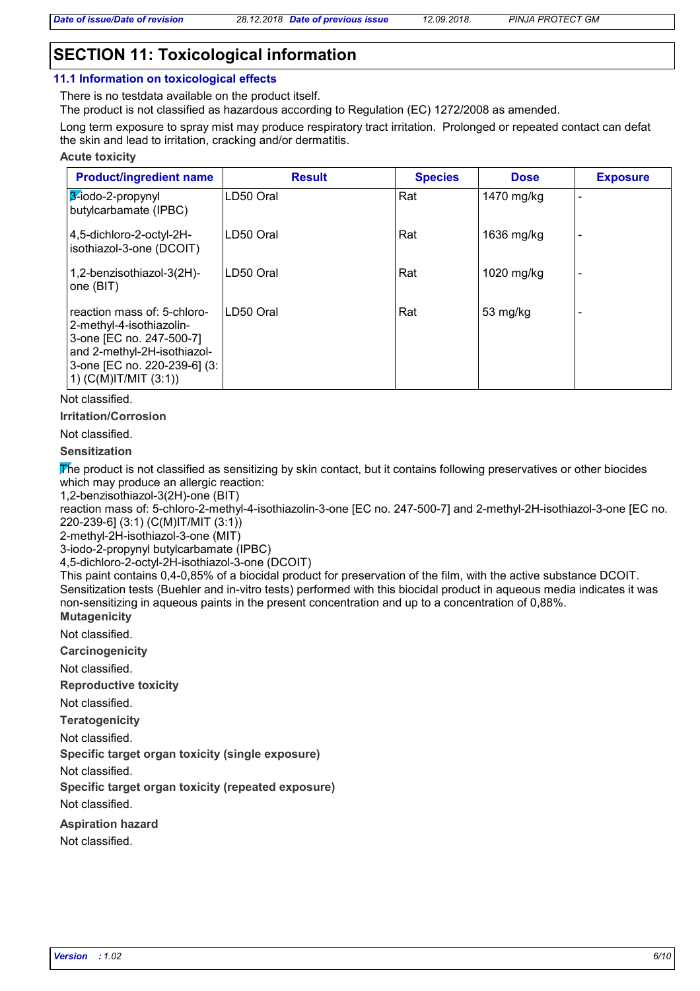## **SECTION 11: Toxicological information**

#### **11.1 Information on toxicological effects**

There is no testdata available on the product itself.

The product is not classified as hazardous according to Regulation (EC) 1272/2008 as amended.

Long term exposure to spray mist may produce respiratory tract irritation. Prolonged or repeated contact can defat the skin and lead to irritation, cracking and/or dermatitis.

#### **Acute toxicity**

| <b>Product/ingredient name</b>                                                                                                                                                  | <b>Result</b> | <b>Species</b> | <b>Dose</b> | <b>Exposure</b> |
|---------------------------------------------------------------------------------------------------------------------------------------------------------------------------------|---------------|----------------|-------------|-----------------|
| 3-iodo-2-propynyl<br>butylcarbamate (IPBC)                                                                                                                                      | LD50 Oral     | Rat            | 1470 mg/kg  |                 |
| 4,5-dichloro-2-octyl-2H-<br>isothiazol-3-one (DCOIT)                                                                                                                            | LD50 Oral     | Rat            | 1636 mg/kg  |                 |
| 1,2-benzisothiazol-3(2H)-<br>one (BIT)                                                                                                                                          | LD50 Oral     | Rat            | 1020 mg/kg  |                 |
| reaction mass of: 5-chloro-<br>2-methyl-4-isothiazolin-<br>3-one [EC no. 247-500-7]<br>and 2-methyl-2H-isothiazol-<br>3-one [EC no. 220-239-6] (3:<br>1) $(C(M)$ IT/MIT $(3:1)$ | LD50 Oral     | Rat            | 53 mg/kg    |                 |

Not classified.

**Irritation/Corrosion**

Not classified.

**Sensitization**

The product is not classified as sensitizing by skin contact, but it contains following preservatives or other biocides which may produce an allergic reaction:

1,2-benzisothiazol-3(2H)-one (BIT)

reaction mass of: 5-chloro-2-methyl-4-isothiazolin-3-one [EC no. 247-500-7] and 2-methyl-2H-isothiazol-3-one [EC no. 220-239-6] (3:1) (C(M)IT/MIT (3:1))

2-methyl-2H-isothiazol-3-one (MIT)

3-iodo-2-propynyl butylcarbamate (IPBC)

4,5-dichloro-2-octyl-2H-isothiazol-3-one (DCOIT)

**Mutagenicity** This paint contains 0,4-0,85% of a biocidal product for preservation of the film, with the active substance DCOIT. Sensitization tests (Buehler and in-vitro tests) performed with this biocidal product in aqueous media indicates it was non-sensitizing in aqueous paints in the present concentration and up to a concentration of 0,88%.

Not classified.

**Carcinogenicity**

Not classified.

**Reproductive toxicity**

Not classified.

**Teratogenicity**

Not classified.

**Specific target organ toxicity (single exposure)**

Not classified.

**Specific target organ toxicity (repeated exposure)**

Not classified.

**Aspiration hazard**

Not classified.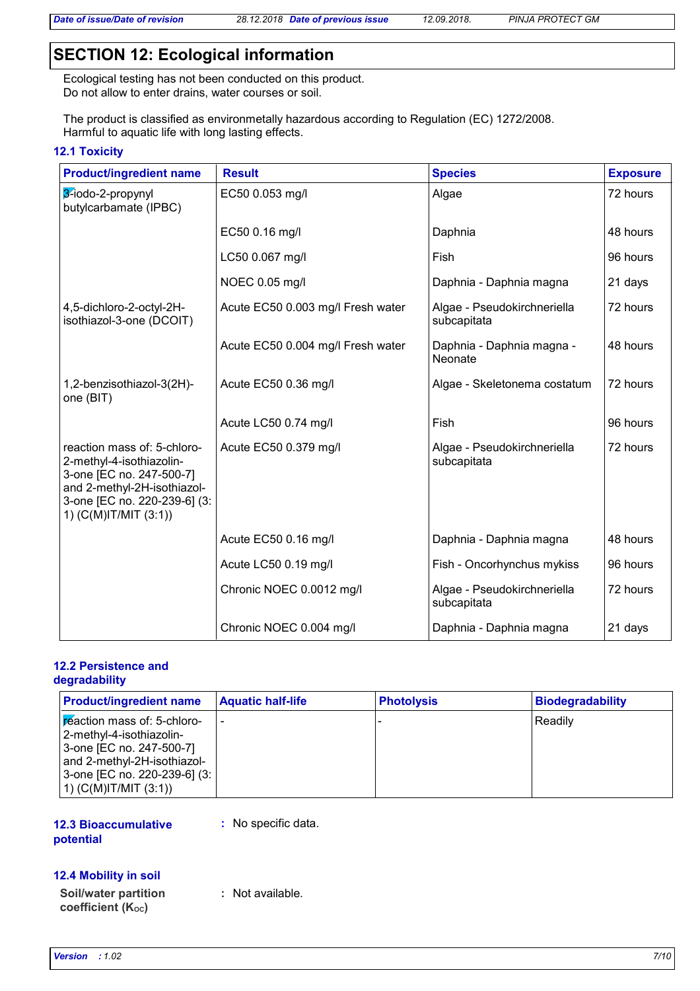*Date of issue/Date of revision 28.12.2018 Date of previous issue 12.09.2018. PINJA PROTECT GM*

## **SECTION 12: Ecological information**

Ecological testing has not been conducted on this product. Do not allow to enter drains, water courses or soil.

The product is classified as environmetally hazardous according to Regulation (EC) 1272/2008. Harmful to aquatic life with long lasting effects.

#### **12.1 Toxicity**

| <b>Product/ingredient name</b>                                                                                                                                              | <b>Result</b>                     | <b>Species</b>                             | <b>Exposure</b> |
|-----------------------------------------------------------------------------------------------------------------------------------------------------------------------------|-----------------------------------|--------------------------------------------|-----------------|
| 3-iodo-2-propynyl<br>butylcarbamate (IPBC)                                                                                                                                  | EC50 0.053 mg/l                   | Algae                                      | 72 hours        |
|                                                                                                                                                                             | EC50 0.16 mg/l                    | Daphnia                                    | 48 hours        |
|                                                                                                                                                                             | LC50 0.067 mg/l                   | Fish                                       | 96 hours        |
|                                                                                                                                                                             | NOEC 0.05 mg/l                    | Daphnia - Daphnia magna                    | 21 days         |
| 4,5-dichloro-2-octyl-2H-<br>isothiazol-3-one (DCOIT)                                                                                                                        | Acute EC50 0.003 mg/l Fresh water | Algae - Pseudokirchneriella<br>subcapitata | 72 hours        |
|                                                                                                                                                                             | Acute EC50 0.004 mg/l Fresh water | Daphnia - Daphnia magna -<br>Neonate       | 48 hours        |
| 1,2-benzisothiazol-3(2H)-<br>one (BIT)                                                                                                                                      | Acute EC50 0.36 mg/l              | Algae - Skeletonema costatum               | 72 hours        |
|                                                                                                                                                                             | Acute LC50 0.74 mg/l              | Fish                                       | 96 hours        |
| reaction mass of: 5-chloro-<br>2-methyl-4-isothiazolin-<br>3-one [EC no. 247-500-7]<br>and 2-methyl-2H-isothiazol-<br>3-one [EC no. 220-239-6] (3:<br>1) (C(M)IT/MIT (3:1)) | Acute EC50 0.379 mg/l             | Algae - Pseudokirchneriella<br>subcapitata | 72 hours        |
|                                                                                                                                                                             | Acute EC50 0.16 mg/l              | Daphnia - Daphnia magna                    | 48 hours        |
|                                                                                                                                                                             | Acute LC50 0.19 mg/l              | Fish - Oncorhynchus mykiss                 | 96 hours        |
|                                                                                                                                                                             | Chronic NOEC 0.0012 mg/l          | Algae - Pseudokirchneriella<br>subcapitata | 72 hours        |
|                                                                                                                                                                             | Chronic NOEC 0.004 mg/l           | Daphnia - Daphnia magna                    | 21 days         |

#### **12.2 Persistence and degradability**

| <b>Product/ingredient name</b>                                                                                                                                                       | <b>Aquatic half-life</b> | <b>Photolysis</b> | <b>Biodegradability</b> |
|--------------------------------------------------------------------------------------------------------------------------------------------------------------------------------------|--------------------------|-------------------|-------------------------|
| <b>Exection mass of: 5-chloro-</b><br>2-methyl-4-isothiazolin-<br>3-one [EC no. 247-500-7]<br>and 2-methyl-2H-isothiazol-<br>3-one [EC no. 220-239-6] (3:<br>1) $(C(M)IT/MIT (3:1))$ |                          |                   | <b>Readily</b>          |

#### **12.3 Bioaccumulative potential**

**:** No specific data.

#### **12.4 Mobility in soil**

**Soil/water partition coefficient (KOC)**

**:** Not available.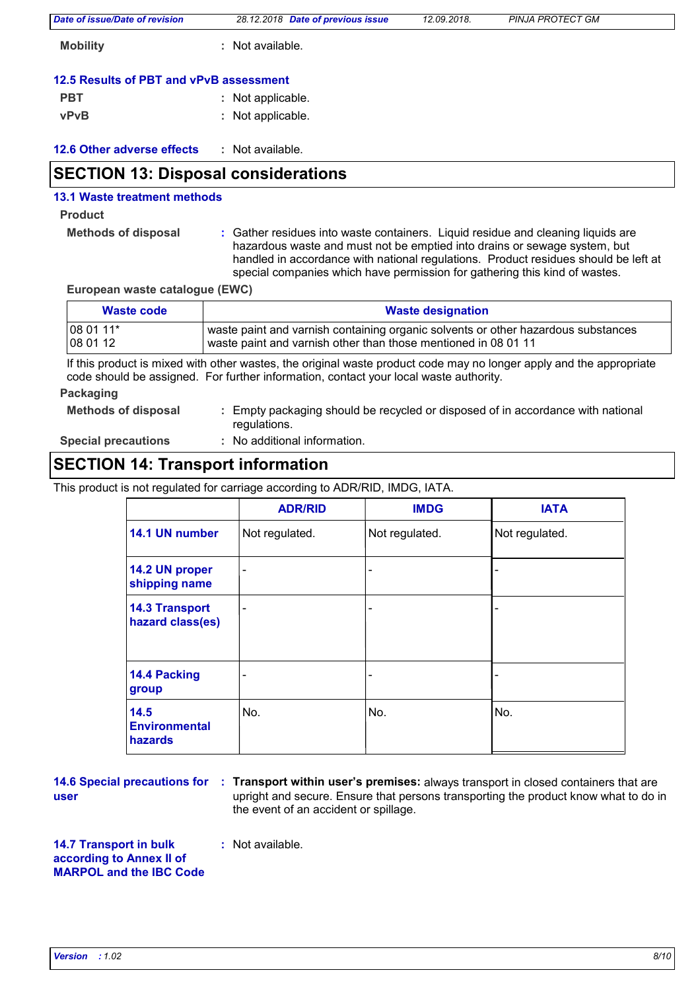| Date of issue/Date of revision          | 28.12.2018 Date of previous issue | 12.09.2018. | <b>PINJA PROTECT GM</b> |
|-----------------------------------------|-----------------------------------|-------------|-------------------------|
| <b>Mobility</b>                         | Not available.                    |             |                         |
| 12.5 Results of PBT and vPvB assessment |                                   |             |                         |
| <b>PBT</b>                              | : Not applicable.                 |             |                         |
| <b>vPvB</b>                             | : Not applicable.                 |             |                         |

| 12.6 Other adverse effects |  | Not available. |
|----------------------------|--|----------------|
|----------------------------|--|----------------|

## **SECTION 13: Disposal considerations**

## **13.1 Waste treatment methods**

#### **Product**

**Methods of disposal :**

Gather residues into waste containers. Liquid residue and cleaning liquids are hazardous waste and must not be emptied into drains or sewage system, but handled in accordance with national regulations. Product residues should be left at special companies which have permission for gathering this kind of wastes.

**European waste catalogue (EWC)**

| Waste code                                                                                                                                                                                                   | <b>Waste designation</b>                                                                                                                            |  |  |
|--------------------------------------------------------------------------------------------------------------------------------------------------------------------------------------------------------------|-----------------------------------------------------------------------------------------------------------------------------------------------------|--|--|
| 08 01 11*<br>08 01 12                                                                                                                                                                                        | waste paint and varnish containing organic solvents or other hazardous substances<br>waste paint and varnish other than those mentioned in 08 01 11 |  |  |
| If this product is mixed with other wastes, the original waste product code may no longer apply and the appropriate<br>code should be assigned. For further information, contact your local waste authority. |                                                                                                                                                     |  |  |
| Packaging                                                                                                                                                                                                    |                                                                                                                                                     |  |  |

#### **Methods of disposal :** Empty packaging should be recycled or disposed of in accordance with national regulations.

**Special precautions :**

: No additional information.

# **SECTION 14: Transport information**

This product is not regulated for carriage according to ADR/RID, IMDG, IATA.

|                                                | <b>ADR/RID</b>           | <b>IMDG</b>              | <b>IATA</b>    |
|------------------------------------------------|--------------------------|--------------------------|----------------|
| 14.1 UN number                                 | Not regulated.           | Not regulated.           | Not regulated. |
| 14.2 UN proper<br>shipping name                | $\blacksquare$           | $\overline{\phantom{a}}$ |                |
| <b>14.3 Transport</b><br>hazard class(es)      | $\overline{\phantom{a}}$ | $\overline{\phantom{a}}$ |                |
| 14.4 Packing<br>group                          |                          | $\qquad \qquad$          |                |
| 14.5<br><b>Environmental</b><br><b>hazards</b> | No.                      | No.                      | No.            |

**user**

**14.6 Special precautions for : Transport within user's premises: always transport in closed containers that are** upright and secure. Ensure that persons transporting the product know what to do in the event of an accident or spillage.

**14.7 Transport in bulk according to Annex II of MARPOL and the IBC Code** **:** Not available.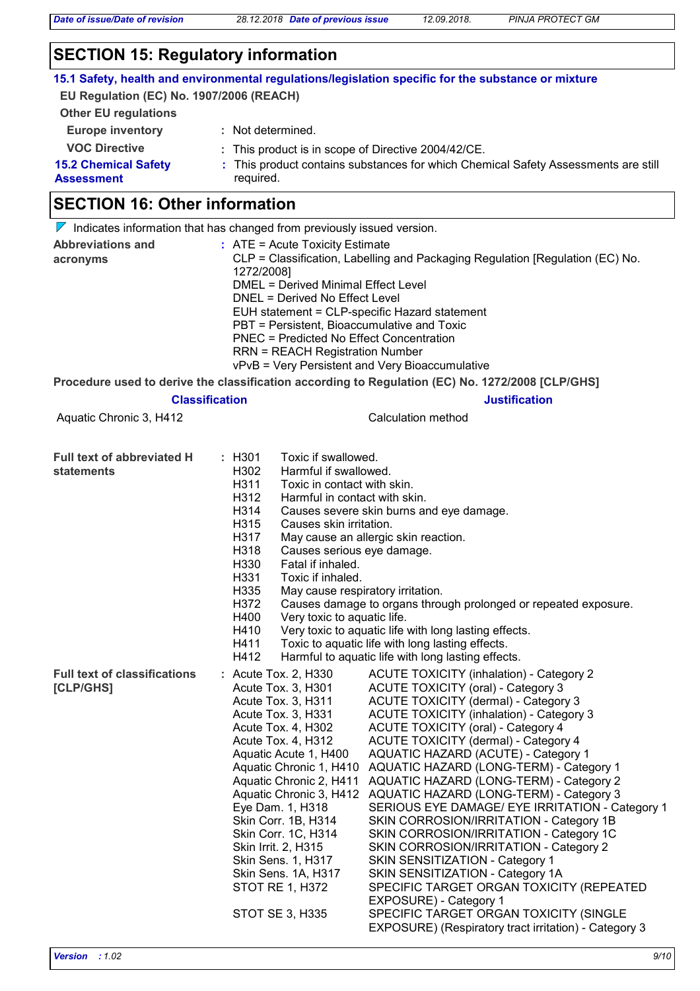*Date of issue/Date of revision 28.12.2018 Date of previous issue 12.09.2018. PINJA PROTECT GM*

## **SECTION 15: Regulatory information**

|                                          |                                                                                                | 15.1 Safety, health and environmental regulations/legislation specific for the substance or mixture       |  |  |  |  |
|------------------------------------------|------------------------------------------------------------------------------------------------|-----------------------------------------------------------------------------------------------------------|--|--|--|--|
| EU Regulation (EC) No. 1907/2006 (REACH) |                                                                                                |                                                                                                           |  |  |  |  |
| <b>Other EU regulations</b>              |                                                                                                |                                                                                                           |  |  |  |  |
| <b>Europe inventory</b>                  | : Not determined.                                                                              |                                                                                                           |  |  |  |  |
| <b>VOC Directive</b>                     | : This product is in scope of Directive 2004/42/CE.                                            |                                                                                                           |  |  |  |  |
| <b>15.2 Chemical Safety</b>              |                                                                                                | : This product contains substances for which Chemical Safety Assessments are still                        |  |  |  |  |
| <b>Assessment</b>                        | required.                                                                                      |                                                                                                           |  |  |  |  |
| <b>SECTION 16: Other information</b>     |                                                                                                |                                                                                                           |  |  |  |  |
|                                          | $\nabla$ Indicates information that has changed from previously issued version.                |                                                                                                           |  |  |  |  |
| <b>Abbreviations and</b>                 | $:$ ATE = Acute Toxicity Estimate                                                              | CLP = Classification, Labelling and Packaging Regulation [Regulation (EC) No.                             |  |  |  |  |
| acronyms                                 | 1272/2008]                                                                                     |                                                                                                           |  |  |  |  |
|                                          | <b>DMEL = Derived Minimal Effect Level</b>                                                     |                                                                                                           |  |  |  |  |
|                                          | DNEL = Derived No Effect Level                                                                 |                                                                                                           |  |  |  |  |
|                                          | EUH statement = CLP-specific Hazard statement                                                  |                                                                                                           |  |  |  |  |
|                                          | PBT = Persistent, Bioaccumulative and Toxic<br><b>PNEC = Predicted No Effect Concentration</b> |                                                                                                           |  |  |  |  |
|                                          | <b>RRN = REACH Registration Number</b>                                                         |                                                                                                           |  |  |  |  |
|                                          | vPvB = Very Persistent and Very Bioaccumulative                                                |                                                                                                           |  |  |  |  |
|                                          |                                                                                                | Procedure used to derive the classification according to Regulation (EC) No. 1272/2008 [CLP/GHS]          |  |  |  |  |
|                                          | <b>Classification</b>                                                                          | <b>Justification</b>                                                                                      |  |  |  |  |
| Aquatic Chronic 3, H412                  |                                                                                                | Calculation method                                                                                        |  |  |  |  |
|                                          |                                                                                                |                                                                                                           |  |  |  |  |
| <b>Full text of abbreviated H</b>        | Toxic if swallowed.<br>: H301                                                                  |                                                                                                           |  |  |  |  |
| statements                               | H302<br>Harmful if swallowed.                                                                  |                                                                                                           |  |  |  |  |
|                                          | H311<br>Toxic in contact with skin.                                                            |                                                                                                           |  |  |  |  |
|                                          | H312<br>Harmful in contact with skin.                                                          |                                                                                                           |  |  |  |  |
|                                          | H314<br>Causes severe skin burns and eye damage.                                               |                                                                                                           |  |  |  |  |
|                                          | H315<br>Causes skin irritation.<br>H317<br>May cause an allergic skin reaction.                |                                                                                                           |  |  |  |  |
|                                          | H318                                                                                           |                                                                                                           |  |  |  |  |
|                                          | Causes serious eye damage.<br>H330<br>Fatal if inhaled.                                        |                                                                                                           |  |  |  |  |
|                                          | H331<br>Toxic if inhaled.                                                                      |                                                                                                           |  |  |  |  |
|                                          | H335<br>May cause respiratory irritation.                                                      |                                                                                                           |  |  |  |  |
|                                          | Causes damage to organs through prolonged or repeated exposure.<br>H372                        |                                                                                                           |  |  |  |  |
|                                          |                                                                                                | H400<br>Very toxic to aquatic life.                                                                       |  |  |  |  |
|                                          | H410<br>H411                                                                                   | Very toxic to aquatic life with long lasting effects.<br>Toxic to aquatic life with long lasting effects. |  |  |  |  |
|                                          | H412                                                                                           | Harmful to aquatic life with long lasting effects.                                                        |  |  |  |  |
| <b>Full text of classifications</b>      | : Acute Tox. 2, H330                                                                           | <b>ACUTE TOXICITY (inhalation) - Category 2</b>                                                           |  |  |  |  |
| [CLP/GHS]                                | Acute Tox. 3, H301                                                                             | <b>ACUTE TOXICITY (oral) - Category 3</b>                                                                 |  |  |  |  |
|                                          | Acute Tox. 3, H311                                                                             | <b>ACUTE TOXICITY (dermal) - Category 3</b>                                                               |  |  |  |  |
|                                          | Acute Tox. 3, H331                                                                             | <b>ACUTE TOXICITY (inhalation) - Category 3</b>                                                           |  |  |  |  |
|                                          | Acute Tox. 4, H302                                                                             | <b>ACUTE TOXICITY (oral) - Category 4</b>                                                                 |  |  |  |  |
|                                          | Acute Tox. 4, H312<br>Aquatic Acute 1, H400                                                    | <b>ACUTE TOXICITY (dermal) - Category 4</b><br><b>AQUATIC HAZARD (ACUTE) - Category 1</b>                 |  |  |  |  |
|                                          | Aquatic Chronic 1, H410                                                                        | AQUATIC HAZARD (LONG-TERM) - Category 1                                                                   |  |  |  |  |
|                                          | Aquatic Chronic 2, H411                                                                        | AQUATIC HAZARD (LONG-TERM) - Category 2                                                                   |  |  |  |  |
|                                          | Aquatic Chronic 3, H412                                                                        | AQUATIC HAZARD (LONG-TERM) - Category 3                                                                   |  |  |  |  |
|                                          | Eye Dam. 1, H318                                                                               | SERIOUS EYE DAMAGE/ EYE IRRITATION - Category 1                                                           |  |  |  |  |
|                                          | Skin Corr. 1B, H314                                                                            | SKIN CORROSION/IRRITATION - Category 1B                                                                   |  |  |  |  |
|                                          | Skin Corr. 1C, H314                                                                            | SKIN CORROSION/IRRITATION - Category 1C                                                                   |  |  |  |  |
|                                          | Skin Irrit. 2, H315<br>Skin Sens. 1, H317                                                      | SKIN CORROSION/IRRITATION - Category 2<br>SKIN SENSITIZATION - Category 1                                 |  |  |  |  |
|                                          | Skin Sens. 1A, H317                                                                            | SKIN SENSITIZATION - Category 1A                                                                          |  |  |  |  |
|                                          | STOT RE 1, H372                                                                                | SPECIFIC TARGET ORGAN TOXICITY (REPEATED                                                                  |  |  |  |  |
|                                          |                                                                                                | EXPOSURE) - Category 1                                                                                    |  |  |  |  |
|                                          | STOT SE 3, H335                                                                                | SPECIFIC TARGET ORGAN TOXICITY (SINGLE                                                                    |  |  |  |  |

EXPOSURE) (Respiratory tract irritation) - Category 3